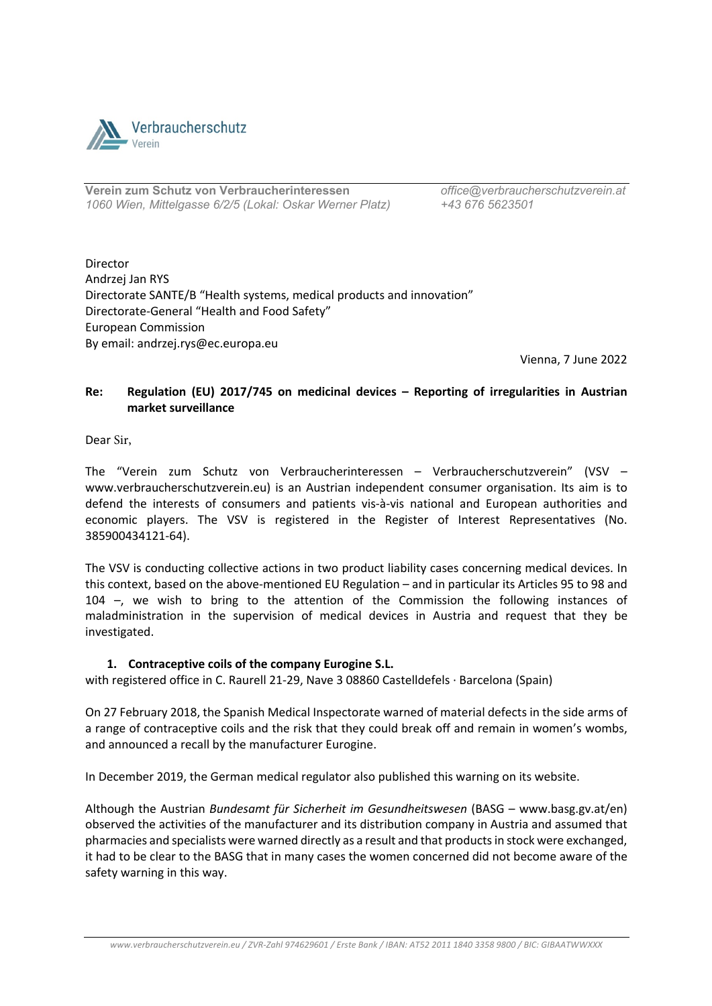

**Verein zum Schutz von Verbraucherinteressen** *office@verbraucherschutzverein.at 1060 Wien, Mittelgasse 6/2/5 (Lokal: Oskar Werner Platz) +43 676 5623501*

Director Andrzej Jan RYS Directorate SANTE/B "Health systems, medical products and innovation" Directorate-General "Health and Food Safety" European Commission By email: andrzej.rys@ec.europa.eu

Vienna, 7 June 2022

## **Re: Regulation (EU) 2017/745 on medicinal devices – Reporting of irregularities in Austrian market surveillance**

Dear Sir,

The "Verein zum Schutz von Verbraucherinteressen – Verbraucherschutzverein" (VSV – www.verbraucherschutzverein.eu) is an Austrian independent consumer organisation. Its aim is to defend the interests of consumers and patients vis-à-vis national and European authorities and economic players. The VSV is registered in the Register of Interest Representatives (No. 385900434121-64).

The VSV is conducting collective actions in two product liability cases concerning medical devices. In this context, based on the above-mentioned EU Regulation – and in particular its Articles 95 to 98 and 104 –, we wish to bring to the attention of the Commission the following instances of maladministration in the supervision of medical devices in Austria and request that they be investigated.

## **1. Contraceptive coils of the company Eurogine S.L.**

with registered office in C. Raurell 21-29, Nave 3 08860 Castelldefels · Barcelona (Spain)

On 27 February 2018, the Spanish Medical Inspectorate warned of material defects in the side arms of a range of contraceptive coils and the risk that they could break off and remain in women's wombs, and announced a recall by the manufacturer Eurogine.

In December 2019, the German medical regulator also published this warning on its website.

Although the Austrian *Bundesamt für Sicherheit im Gesundheitswesen* (BASG – www.basg.gv.at/en) observed the activities of the manufacturer and its distribution company in Austria and assumed that pharmacies and specialists were warned directly as a result and that products in stock were exchanged, it had to be clear to the BASG that in many cases the women concerned did not become aware of the safety warning in this way.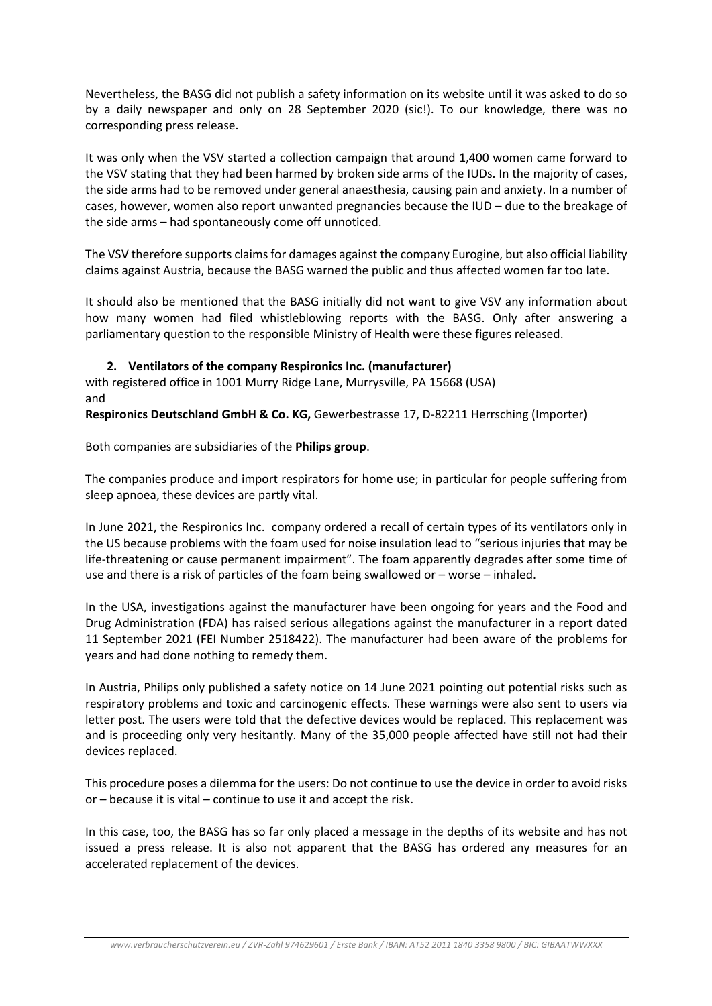Nevertheless, the BASG did not publish a safety information on its website until it was asked to do so by a daily newspaper and only on 28 September 2020 (sic!). To our knowledge, there was no corresponding press release.

It was only when the VSV started a collection campaign that around 1,400 women came forward to the VSV stating that they had been harmed by broken side arms of the IUDs. In the majority of cases, the side arms had to be removed under general anaesthesia, causing pain and anxiety. In a number of cases, however, women also report unwanted pregnancies because the IUD – due to the breakage of the side arms – had spontaneously come off unnoticed.

The VSV therefore supports claims for damages against the company Eurogine, but also official liability claims against Austria, because the BASG warned the public and thus affected women far too late.

It should also be mentioned that the BASG initially did not want to give VSV any information about how many women had filed whistleblowing reports with the BASG. Only after answering a parliamentary question to the responsible Ministry of Health were these figures released.

## **2. Ventilators of the company Respironics Inc. (manufacturer)**

with registered office in 1001 Murry Ridge Lane, Murrysville, PA 15668 (USA) and

**Respironics Deutschland GmbH & Co. KG,** Gewerbestrasse 17, D-82211 Herrsching (Importer)

Both companies are subsidiaries of the **Philips group**.

The companies produce and import respirators for home use; in particular for people suffering from sleep apnoea, these devices are partly vital.

In June 2021, the Respironics Inc. company ordered a recall of certain types of its ventilators only in the US because problems with the foam used for noise insulation lead to "serious injuries that may be life-threatening or cause permanent impairment". The foam apparently degrades after some time of use and there is a risk of particles of the foam being swallowed or – worse – inhaled.

In the USA, investigations against the manufacturer have been ongoing for years and the Food and Drug Administration (FDA) has raised serious allegations against the manufacturer in a report dated 11 September 2021 (FEI Number 2518422). The manufacturer had been aware of the problems for years and had done nothing to remedy them.

In Austria, Philips only published a safety notice on 14 June 2021 pointing out potential risks such as respiratory problems and toxic and carcinogenic effects. These warnings were also sent to users via letter post. The users were told that the defective devices would be replaced. This replacement was and is proceeding only very hesitantly. Many of the 35,000 people affected have still not had their devices replaced.

This procedure poses a dilemma for the users: Do not continue to use the device in order to avoid risks or – because it is vital – continue to use it and accept the risk.

In this case, too, the BASG has so far only placed a message in the depths of its website and has not issued a press release. It is also not apparent that the BASG has ordered any measures for an accelerated replacement of the devices.